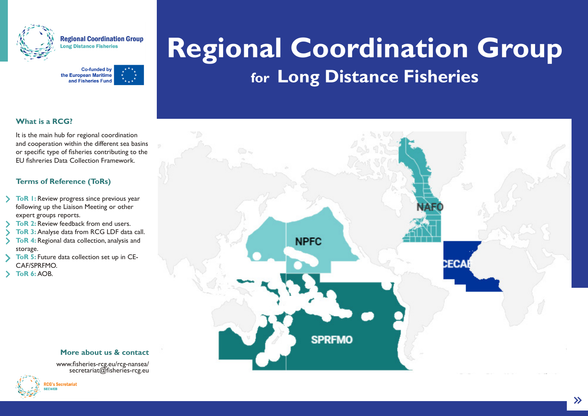

**Regional Coordination Group** ong Distance Fisheries



# **Regional Coordination Group for Long Distance Fisheries**

#### **What is a RCG?**

It is the main hub for regional coordination and cooperation within the different sea basins or specific type of fisheries contributing to the EU fishreries Data Collection Framework.

#### **Terms of Reference (ToRs)**

- **ToR 1:** Review progress since previous year following up the Liaison Meeting or other expert groups reports.
- **ToR 2: Review feedback from end users.**
- **ToR 3:** Analyse data from RCG LDF data call. **ToR 4:** Regional data collection, analysis and
- storage.
- **ToR 5:** Future data collection set up in CE-CAF/SPRFMO.
- **ToR 6:** AOB.

#### **More about us & contact**

www.fisheries-rcg.eu/rcg-nansea/ secretariat@fisheries-rcg.eu





 $\rightarrow$